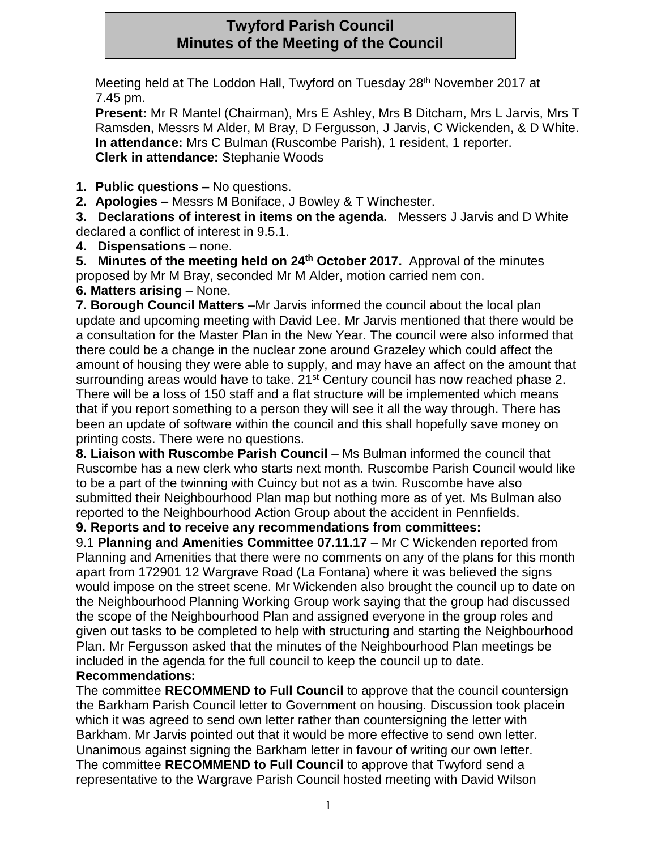# **Twyford Parish Council Minutes of the Meeting of the Council**

Meeting held at The Loddon Hall, Twyford on Tuesday 28<sup>th</sup> November 2017 at 7.45 pm.

**Present:** Mr R Mantel (Chairman), Mrs E Ashley, Mrs B Ditcham, Mrs L Jarvis, Mrs T Ramsden, Messrs M Alder, M Bray, D Fergusson, J Jarvis, C Wickenden, & D White. **In attendance:** Mrs C Bulman (Ruscombe Parish), 1 resident, 1 reporter. **Clerk in attendance:** Stephanie Woods

**1. Public questions –** No questions.

**2. Apologies –** Messrs M Boniface, J Bowley & T Winchester.

**3. Declarations of interest in items on the agenda.** Messers J Jarvis and D White declared a conflict of interest in 9.5.1.

**4. Dispensations** – none.

**5. Minutes of the meeting held on 24th October 2017.** Approval of the minutes proposed by Mr M Bray, seconded Mr M Alder, motion carried nem con.

**6. Matters arising** – None.

**7. Borough Council Matters** –Mr Jarvis informed the council about the local plan update and upcoming meeting with David Lee. Mr Jarvis mentioned that there would be a consultation for the Master Plan in the New Year. The council were also informed that there could be a change in the nuclear zone around Grazeley which could affect the amount of housing they were able to supply, and may have an affect on the amount that surrounding areas would have to take. 21<sup>st</sup> Century council has now reached phase 2. There will be a loss of 150 staff and a flat structure will be implemented which means that if you report something to a person they will see it all the way through. There has been an update of software within the council and this shall hopefully save money on printing costs. There were no questions.

**8. Liaison with Ruscombe Parish Council** – Ms Bulman informed the council that Ruscombe has a new clerk who starts next month. Ruscombe Parish Council would like to be a part of the twinning with Cuincy but not as a twin. Ruscombe have also submitted their Neighbourhood Plan map but nothing more as of yet. Ms Bulman also reported to the Neighbourhood Action Group about the accident in Pennfields.

**9. Reports and to receive any recommendations from committees:** 

9.1 **Planning and Amenities Committee 07.11.17** – Mr C Wickenden reported from Planning and Amenities that there were no comments on any of the plans for this month apart from 172901 12 Wargrave Road (La Fontana) where it was believed the signs would impose on the street scene. Mr Wickenden also brought the council up to date on the Neighbourhood Planning Working Group work saying that the group had discussed the scope of the Neighbourhood Plan and assigned everyone in the group roles and given out tasks to be completed to help with structuring and starting the Neighbourhood Plan. Mr Fergusson asked that the minutes of the Neighbourhood Plan meetings be included in the agenda for the full council to keep the council up to date. **Recommendations:** 

The committee **RECOMMEND to Full Council** to approve that the council countersign the Barkham Parish Council letter to Government on housing. Discussion took placein which it was agreed to send own letter rather than countersigning the letter with Barkham. Mr Jarvis pointed out that it would be more effective to send own letter. Unanimous against signing the Barkham letter in favour of writing our own letter. The committee **RECOMMEND to Full Council** to approve that Twyford send a representative to the Wargrave Parish Council hosted meeting with David Wilson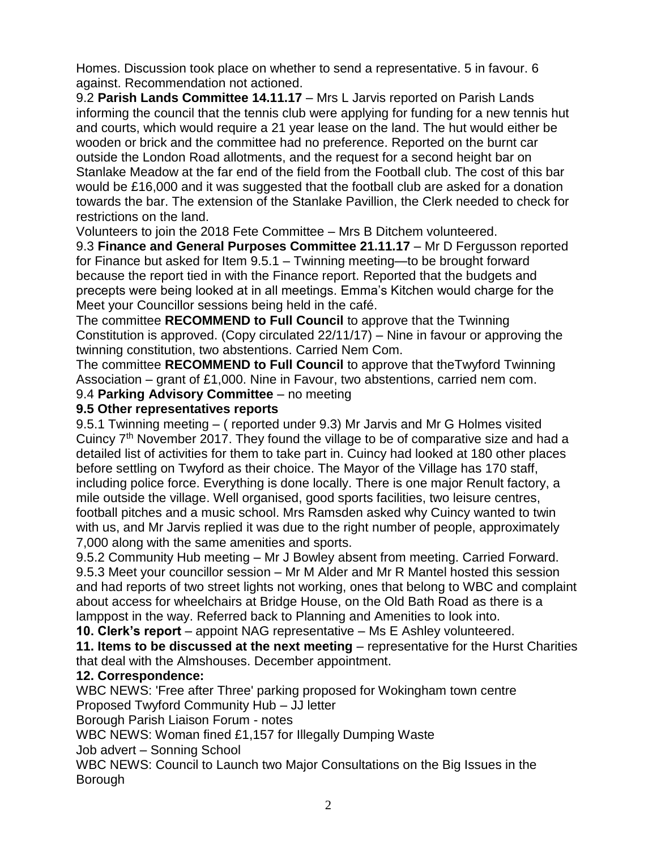Homes. Discussion took place on whether to send a representative. 5 in favour. 6 against. Recommendation not actioned.

9.2 **Parish Lands Committee 14.11.17** – Mrs L Jarvis reported on Parish Lands informing the council that the tennis club were applying for funding for a new tennis hut and courts, which would require a 21 year lease on the land. The hut would either be wooden or brick and the committee had no preference. Reported on the burnt car outside the London Road allotments, and the request for a second height bar on Stanlake Meadow at the far end of the field from the Football club. The cost of this bar would be £16,000 and it was suggested that the football club are asked for a donation towards the bar. The extension of the Stanlake Pavillion, the Clerk needed to check for restrictions on the land.

Volunteers to join the 2018 Fete Committee – Mrs B Ditchem volunteered.

9.3 **Finance and General Purposes Committee 21.11.17** – Mr D Fergusson reported for Finance but asked for Item 9.5.1 – Twinning meeting—to be brought forward because the report tied in with the Finance report. Reported that the budgets and precepts were being looked at in all meetings. Emma's Kitchen would charge for the Meet your Councillor sessions being held in the café.

The committee **RECOMMEND to Full Council** to approve that the Twinning Constitution is approved. (Copy circulated 22/11/17) – Nine in favour or approving the twinning constitution, two abstentions. Carried Nem Com.

The committee **RECOMMEND to Full Council** to approve that theTwyford Twinning Association – grant of £1,000. Nine in Favour, two abstentions, carried nem com.

9.4 **Parking Advisory Committee** – no meeting

#### **9.5 Other representatives reports**

9.5.1 Twinning meeting – ( reported under 9.3) Mr Jarvis and Mr G Holmes visited Cuincy 7<sup>th</sup> November 2017. They found the village to be of comparative size and had a detailed list of activities for them to take part in. Cuincy had looked at 180 other places before settling on Twyford as their choice. The Mayor of the Village has 170 staff, including police force. Everything is done locally. There is one major Renult factory, a mile outside the village. Well organised, good sports facilities, two leisure centres, football pitches and a music school. Mrs Ramsden asked why Cuincy wanted to twin with us, and Mr Jarvis replied it was due to the right number of people, approximately 7,000 along with the same amenities and sports.

9.5.2 Community Hub meeting – Mr J Bowley absent from meeting. Carried Forward. 9.5.3 Meet your councillor session – Mr M Alder and Mr R Mantel hosted this session and had reports of two street lights not working, ones that belong to WBC and complaint about access for wheelchairs at Bridge House, on the Old Bath Road as there is a lamppost in the way. Referred back to Planning and Amenities to look into.

**10. Clerk's report** – appoint NAG representative – Ms E Ashley volunteered.

**11. Items to be discussed at the next meeting** – representative for the Hurst Charities that deal with the Almshouses. December appointment.

### **12. Correspondence:**

WBC NEWS: 'Free after Three' parking proposed for Wokingham town centre Proposed Twyford Community Hub – JJ letter

Borough Parish Liaison Forum - notes

WBC NEWS: Woman fined £1,157 for Illegally Dumping Waste

Job advert – Sonning School

WBC NEWS: Council to Launch two Major Consultations on the Big Issues in the Borough